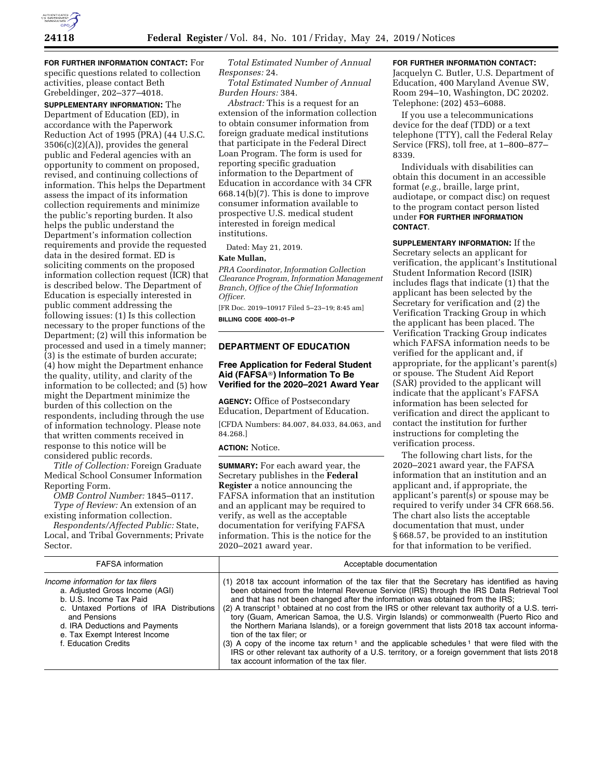

**FOR FURTHER INFORMATION CONTACT:** For specific questions related to collection activities, please contact Beth Grebeldinger, 202–377–4018.

**SUPPLEMENTARY INFORMATION:** The Department of Education (ED), in accordance with the Paperwork Reduction Act of 1995 (PRA) (44 U.S.C.  $3506(c)(2)(A)$ , provides the general public and Federal agencies with an opportunity to comment on proposed, revised, and continuing collections of information. This helps the Department assess the impact of its information collection requirements and minimize the public's reporting burden. It also helps the public understand the Department's information collection requirements and provide the requested data in the desired format. ED is soliciting comments on the proposed information collection request (ICR) that is described below. The Department of Education is especially interested in public comment addressing the following issues: (1) Is this collection necessary to the proper functions of the Department; (2) will this information be processed and used in a timely manner; (3) is the estimate of burden accurate; (4) how might the Department enhance the quality, utility, and clarity of the information to be collected; and (5) how might the Department minimize the burden of this collection on the respondents, including through the use of information technology. Please note that written comments received in response to this notice will be considered public records.

*Title of Collection:* Foreign Graduate Medical School Consumer Information Reporting Form.

*OMB Control Number:* 1845–0117. *Type of Review:* An extension of an existing information collection.

*Respondents/Affected Public:* State, Local, and Tribal Governments; Private Sector.

*Total Estimated Number of Annual Responses:* 24.

*Total Estimated Number of Annual Burden Hours:* 384.

*Abstract:* This is a request for an extension of the information collection to obtain consumer information from foreign graduate medical institutions that participate in the Federal Direct Loan Program. The form is used for reporting specific graduation information to the Department of Education in accordance with 34 CFR 668.14(b)(7). This is done to improve consumer information available to prospective U.S. medical student interested in foreign medical institutions.

Dated: May 21, 2019.

## **Kate Mullan,**

*PRA Coordinator, Information Collection Clearance Program, Information Management Branch, Office of the Chief Information Officer.* 

[FR Doc. 2019–10917 Filed 5–23–19; 8:45 am] **BILLING CODE 4000–01–P** 

## **DEPARTMENT OF EDUCATION**

## **Free Application for Federal Student Aid (FAFSA**®**) Information To Be Verified for the 2020–2021 Award Year**

**AGENCY:** Office of Postsecondary Education, Department of Education.

[CFDA Numbers: 84.007, 84.033, 84.063, and 84.268.]

## **ACTION:** Notice.

**SUMMARY:** For each award year, the Secretary publishes in the **Federal Register** a notice announcing the FAFSA information that an institution and an applicant may be required to verify, as well as the acceptable documentation for verifying FAFSA information. This is the notice for the 2020–2021 award year.

#### **FOR FURTHER INFORMATION CONTACT:**

Jacquelyn C. Butler, U.S. Department of Education, 400 Maryland Avenue SW, Room 294–10, Washington, DC 20202. Telephone: (202) 453–6088.

If you use a telecommunications device for the deaf (TDD) or a text telephone (TTY), call the Federal Relay Service (FRS), toll free, at 1–800–877– 8339.

Individuals with disabilities can obtain this document in an accessible format (*e.g.,* braille, large print, audiotape, or compact disc) on request to the program contact person listed under **FOR FURTHER INFORMATION CONTACT**.

**SUPPLEMENTARY INFORMATION:** If the Secretary selects an applicant for verification, the applicant's Institutional Student Information Record (ISIR) includes flags that indicate (1) that the applicant has been selected by the Secretary for verification and (2) the Verification Tracking Group in which the applicant has been placed. The Verification Tracking Group indicates which FAFSA information needs to be verified for the applicant and, if appropriate, for the applicant's parent(s) or spouse. The Student Aid Report (SAR) provided to the applicant will indicate that the applicant's FAFSA information has been selected for verification and direct the applicant to contact the institution for further instructions for completing the verification process.

The following chart lists, for the 2020–2021 award year, the FAFSA information that an institution and an applicant and, if appropriate, the applicant's parent(s) or spouse may be required to verify under 34 CFR 668.56. The chart also lists the acceptable documentation that must, under § 668.57, be provided to an institution for that information to be verified.

| <b>FAFSA</b> information                                                                                                                                                                                                                              | Acceptable documentation                                                                                                                                                                                                                                                                                                                                                                                                                                                                                                                                                                                                                                                                                                                                                                                                                                                                     |
|-------------------------------------------------------------------------------------------------------------------------------------------------------------------------------------------------------------------------------------------------------|----------------------------------------------------------------------------------------------------------------------------------------------------------------------------------------------------------------------------------------------------------------------------------------------------------------------------------------------------------------------------------------------------------------------------------------------------------------------------------------------------------------------------------------------------------------------------------------------------------------------------------------------------------------------------------------------------------------------------------------------------------------------------------------------------------------------------------------------------------------------------------------------|
| Income information for tax filers<br>a. Adjusted Gross Income (AGI)<br>b. U.S. Income Tax Paid<br>c. Untaxed Portions of IRA Distributions<br>and Pensions<br>d. IRA Deductions and Payments<br>e. Tax Exempt Interest Income<br>f. Education Credits | (1) 2018 tax account information of the tax filer that the Secretary has identified as having<br>been obtained from the Internal Revenue Service (IRS) through the IRS Data Retrieval Tool<br>and that has not been changed after the information was obtained from the IRS;<br>(2) A transcript <sup>1</sup> obtained at no cost from the IRS or other relevant tax authority of a U.S. terri-<br>tory (Guam, American Samoa, the U.S. Virgin Islands) or commonwealth (Puerto Rico and<br>the Northern Mariana Islands), or a foreign government that lists 2018 tax account informa-<br>tion of the tax filer: or<br>(3) A copy of the income tax return <sup>1</sup> and the applicable schedules <sup>1</sup> that were filed with the<br>IRS or other relevant tax authority of a U.S. territory, or a foreign government that lists 2018<br>tax account information of the tax filer. |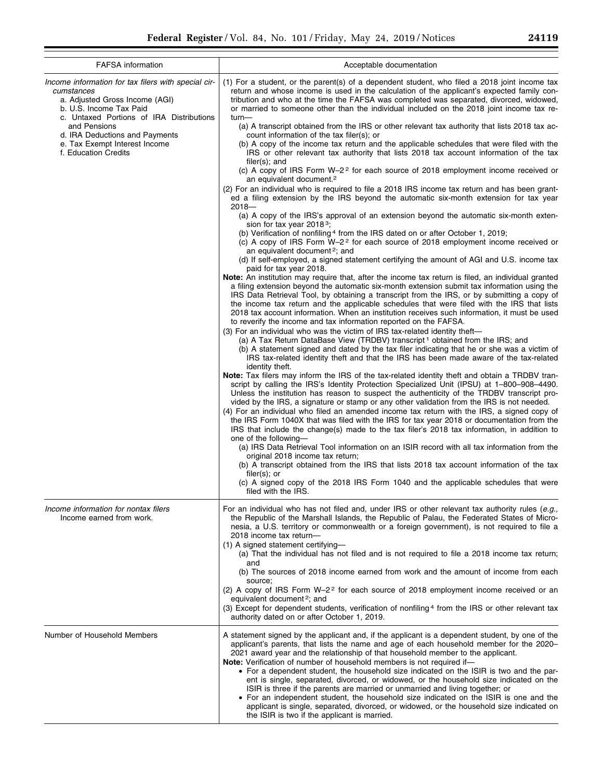| <b>FAFSA</b> information                                                                                                                                                                                                                                                              | Acceptable documentation                                                                                                                                                                                                                                                                                                                                                                                                                                                                                                                                                                                                                                                                                                                                                                                                                                                                                                                                                                                                                                                                                                                                                                                                                                                                                                                                                                                                                                                                                                                                                                                                                                                                                                                                                                                                                                                                                                                                                                                                                                                                                                                                                                                                                                                                                                                                                                                                                                                                                                                                                                                                                                                                                                                                                                                                                                                                                                                                                                                                                                                                                                                                                                                                                                                                                                                                                                                                                                                                                                                                                                                           |
|---------------------------------------------------------------------------------------------------------------------------------------------------------------------------------------------------------------------------------------------------------------------------------------|--------------------------------------------------------------------------------------------------------------------------------------------------------------------------------------------------------------------------------------------------------------------------------------------------------------------------------------------------------------------------------------------------------------------------------------------------------------------------------------------------------------------------------------------------------------------------------------------------------------------------------------------------------------------------------------------------------------------------------------------------------------------------------------------------------------------------------------------------------------------------------------------------------------------------------------------------------------------------------------------------------------------------------------------------------------------------------------------------------------------------------------------------------------------------------------------------------------------------------------------------------------------------------------------------------------------------------------------------------------------------------------------------------------------------------------------------------------------------------------------------------------------------------------------------------------------------------------------------------------------------------------------------------------------------------------------------------------------------------------------------------------------------------------------------------------------------------------------------------------------------------------------------------------------------------------------------------------------------------------------------------------------------------------------------------------------------------------------------------------------------------------------------------------------------------------------------------------------------------------------------------------------------------------------------------------------------------------------------------------------------------------------------------------------------------------------------------------------------------------------------------------------------------------------------------------------------------------------------------------------------------------------------------------------------------------------------------------------------------------------------------------------------------------------------------------------------------------------------------------------------------------------------------------------------------------------------------------------------------------------------------------------------------------------------------------------------------------------------------------------------------------------------------------------------------------------------------------------------------------------------------------------------------------------------------------------------------------------------------------------------------------------------------------------------------------------------------------------------------------------------------------------------------------------------------------------------------------------------------------------|
| Income information for tax filers with special cir-<br>cumstances<br>a. Adjusted Gross Income (AGI)<br>b. U.S. Income Tax Paid<br>c. Untaxed Portions of IRA Distributions<br>and Pensions<br>d. IRA Deductions and Payments<br>e. Tax Exempt Interest Income<br>f. Education Credits | (1) For a student, or the parent(s) of a dependent student, who filed a 2018 joint income tax<br>return and whose income is used in the calculation of the applicant's expected family con-<br>tribution and who at the time the FAFSA was completed was separated, divorced, widowed,<br>or married to someone other than the individual included on the 2018 joint income tax re-<br>turn-<br>(a) A transcript obtained from the IRS or other relevant tax authority that lists 2018 tax ac-<br>count information of the tax filer(s); or<br>(b) A copy of the income tax return and the applicable schedules that were filed with the<br>IRS or other relevant tax authority that lists 2018 tax account information of the tax<br>$filer(s);$ and<br>(c) A copy of IRS Form $W-2^2$ for each source of 2018 employment income received or<br>an equivalent document. <sup>2</sup><br>(2) For an individual who is required to file a 2018 IRS income tax return and has been grant-<br>ed a filing extension by the IRS beyond the automatic six-month extension for tax year<br>$2018 -$<br>(a) A copy of the IRS's approval of an extension beyond the automatic six-month exten-<br>sion for tax year 2018 <sup>3</sup> ;<br>(b) Verification of nonfiling 4 from the IRS dated on or after October 1, 2019;<br>(c) A copy of IRS Form W-2 <sup>2</sup> for each source of 2018 employment income received or<br>an equivalent document <sup>2</sup> ; and<br>(d) If self-employed, a signed statement certifying the amount of AGI and U.S. income tax<br>paid for tax year 2018.<br>Note: An institution may require that, after the income tax return is filed, an individual granted<br>a filing extension beyond the automatic six-month extension submit tax information using the<br>IRS Data Retrieval Tool, by obtaining a transcript from the IRS, or by submitting a copy of<br>the income tax return and the applicable schedules that were filed with the IRS that lists<br>2018 tax account information. When an institution receives such information, it must be used<br>to reverify the income and tax information reported on the FAFSA.<br>(3) For an individual who was the victim of IRS tax-related identity theft-<br>(a) A Tax Return DataBase View (TRDBV) transcript <sup>1</sup> obtained from the IRS; and<br>(b) A statement signed and dated by the tax filer indicating that he or she was a victim of<br>IRS tax-related identity theft and that the IRS has been made aware of the tax-related<br>identity theft.<br>Note: Tax filers may inform the IRS of the tax-related identity theft and obtain a TRDBV tran-<br>script by calling the IRS's Identity Protection Specialized Unit (IPSU) at 1–800–908–4490.<br>Unless the institution has reason to suspect the authenticity of the TRDBV transcript pro-<br>vided by the IRS, a signature or stamp or any other validation from the IRS is not needed.<br>(4) For an individual who filed an amended income tax return with the IRS, a signed copy of<br>the IRS Form 1040X that was filed with the IRS for tax year 2018 or documentation from the<br>IRS that include the change(s) made to the tax filer's 2018 tax information, in addition to<br>one of the following-<br>(a) IRS Data Retrieval Tool information on an ISIR record with all tax information from the<br>original 2018 income tax return;<br>(b) A transcript obtained from the IRS that lists 2018 tax account information of the tax<br>filer(s); $or$<br>(c) A signed copy of the 2018 IRS Form 1040 and the applicable schedules that were |
| Income information for nontax filers<br>Income earned from work.                                                                                                                                                                                                                      | For an individual who has not filed and, under IRS or other relevant tax authority rules (e.g.,<br>the Republic of the Marshall Islands, the Republic of Palau, the Federated States of Micro-<br>nesia, a U.S. territory or commonwealth or a foreign government), is not required to file a<br>2018 income tax return-<br>(1) A signed statement certifying-<br>(a) That the individual has not filed and is not required to file a 2018 income tax return;<br>and<br>(b) The sources of 2018 income earned from work and the amount of income from each<br>source;<br>(2) A copy of IRS Form $W-2^2$ for each source of 2018 employment income received or an<br>equivalent document <sup>2</sup> ; and<br>(3) Except for dependent students, verification of nonfiling 4 from the IRS or other relevant tax<br>authority dated on or after October 1, 2019.                                                                                                                                                                                                                                                                                                                                                                                                                                                                                                                                                                                                                                                                                                                                                                                                                                                                                                                                                                                                                                                                                                                                                                                                                                                                                                                                                                                                                                                                                                                                                                                                                                                                                                                                                                                                                                                                                                                                                                                                                                                                                                                                                                                                                                                                                                                                                                                                                                                                                                                                                                                                                                                                                                                                                    |
| Number of Household Members                                                                                                                                                                                                                                                           | A statement signed by the applicant and, if the applicant is a dependent student, by one of the<br>applicant's parents, that lists the name and age of each household member for the 2020–<br>2021 award year and the relationship of that household member to the applicant.<br>Note: Verification of number of household members is not required if-<br>• For a dependent student, the household size indicated on the ISIR is two and the par-<br>ent is single, separated, divorced, or widowed, or the household size indicated on the<br>ISIR is three if the parents are married or unmarried and living together; or<br>• For an independent student, the household size indicated on the ISIR is one and the<br>applicant is single, separated, divorced, or widowed, or the household size indicated on<br>the ISIR is two if the applicant is married.                                                                                                                                                                                                                                                                                                                                                                                                                                                                                                                                                                                                                                                                                                                                                                                                                                                                                                                                                                                                                                                                                                                                                                                                                                                                                                                                                                                                                                                                                                                                                                                                                                                                                                                                                                                                                                                                                                                                                                                                                                                                                                                                                                                                                                                                                                                                                                                                                                                                                                                                                                                                                                                                                                                                                  |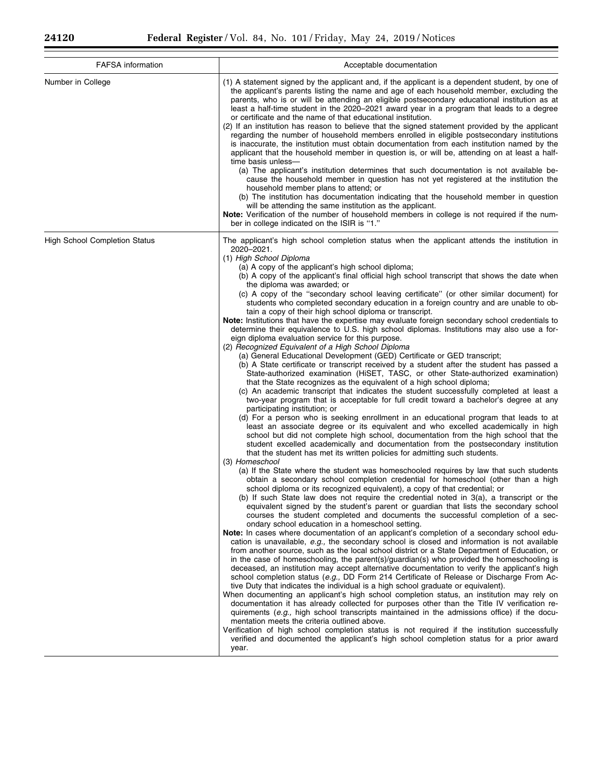$\equiv$ 

| <b>FAFSA</b> information             | Acceptable documentation                                                                                                                                                                                                                                                                                                                                                                                                                                                                                                                                                                                                                                                                                                                                                                                                                                                                                                                                                                                                                                                                                                                                                                                                                                                                                                                                                                                                                                                                                                                                                                                                                                                                                                                                                                                                                                                                                                                                                                                                                                                                                                                                                                                                                                                                                                                                                                                                                                                                                                                                                                                                                                                                                                                                                                                                                                                                                                                                                                                                                                                                                                                                                                                                                                                                                                                                                                                                                                                                                                                                                                                                                                                                                                               |
|--------------------------------------|----------------------------------------------------------------------------------------------------------------------------------------------------------------------------------------------------------------------------------------------------------------------------------------------------------------------------------------------------------------------------------------------------------------------------------------------------------------------------------------------------------------------------------------------------------------------------------------------------------------------------------------------------------------------------------------------------------------------------------------------------------------------------------------------------------------------------------------------------------------------------------------------------------------------------------------------------------------------------------------------------------------------------------------------------------------------------------------------------------------------------------------------------------------------------------------------------------------------------------------------------------------------------------------------------------------------------------------------------------------------------------------------------------------------------------------------------------------------------------------------------------------------------------------------------------------------------------------------------------------------------------------------------------------------------------------------------------------------------------------------------------------------------------------------------------------------------------------------------------------------------------------------------------------------------------------------------------------------------------------------------------------------------------------------------------------------------------------------------------------------------------------------------------------------------------------------------------------------------------------------------------------------------------------------------------------------------------------------------------------------------------------------------------------------------------------------------------------------------------------------------------------------------------------------------------------------------------------------------------------------------------------------------------------------------------------------------------------------------------------------------------------------------------------------------------------------------------------------------------------------------------------------------------------------------------------------------------------------------------------------------------------------------------------------------------------------------------------------------------------------------------------------------------------------------------------------------------------------------------------------------------------------------------------------------------------------------------------------------------------------------------------------------------------------------------------------------------------------------------------------------------------------------------------------------------------------------------------------------------------------------------------------------------------------------------------------------------------------------------------|
| Number in College                    | (1) A statement signed by the applicant and, if the applicant is a dependent student, by one of<br>the applicant's parents listing the name and age of each household member, excluding the<br>parents, who is or will be attending an eligible postsecondary educational institution as at<br>least a half-time student in the 2020–2021 award year in a program that leads to a degree<br>or certificate and the name of that educational institution.<br>(2) If an institution has reason to believe that the signed statement provided by the applicant<br>regarding the number of household members enrolled in eligible postsecondary institutions<br>is inaccurate, the institution must obtain documentation from each institution named by the<br>applicant that the household member in question is, or will be, attending on at least a half-<br>time basis unless-<br>(a) The applicant's institution determines that such documentation is not available be-<br>cause the household member in question has not yet registered at the institution the<br>household member plans to attend; or<br>(b) The institution has documentation indicating that the household member in question<br>will be attending the same institution as the applicant.<br>Note: Verification of the number of household members in college is not required if the num-<br>ber in college indicated on the ISIR is "1."                                                                                                                                                                                                                                                                                                                                                                                                                                                                                                                                                                                                                                                                                                                                                                                                                                                                                                                                                                                                                                                                                                                                                                                                                                                                                                                                                                                                                                                                                                                                                                                                                                                                                                                                                                                                                                                                                                                                                                                                                                                                                                                                                                                                                                                                                                                        |
| <b>High School Completion Status</b> | The applicant's high school completion status when the applicant attends the institution in<br>2020-2021.<br>(1) High School Diploma<br>(a) A copy of the applicant's high school diploma;<br>(b) A copy of the applicant's final official high school transcript that shows the date when<br>the diploma was awarded; or<br>(c) A copy of the "secondary school leaving certificate" (or other similar document) for<br>students who completed secondary education in a foreign country and are unable to ob-<br>tain a copy of their high school diploma or transcript.<br>Note: Institutions that have the expertise may evaluate foreign secondary school credentials to<br>determine their equivalence to U.S. high school diplomas. Institutions may also use a for-<br>eign diploma evaluation service for this purpose.<br>(2) Recognized Equivalent of a High School Diploma<br>(a) General Educational Development (GED) Certificate or GED transcript;<br>(b) A State certificate or transcript received by a student after the student has passed a<br>State-authorized examination (HISET, TASC, or other State-authorized examination)<br>that the State recognizes as the equivalent of a high school diploma;<br>(c) An academic transcript that indicates the student successfully completed at least a<br>two-year program that is acceptable for full credit toward a bachelor's degree at any<br>participating institution; or<br>(d) For a person who is seeking enrollment in an educational program that leads to at<br>least an associate degree or its equivalent and who excelled academically in high<br>school but did not complete high school, documentation from the high school that the<br>student excelled academically and documentation from the postsecondary institution<br>that the student has met its written policies for admitting such students.<br>(3) Homeschool<br>(a) If the State where the student was homeschooled requires by law that such students<br>obtain a secondary school completion credential for homeschool (other than a high<br>school diploma or its recognized equivalent), a copy of that credential; or<br>(b) If such State law does not require the credential noted in 3(a), a transcript or the<br>equivalent signed by the student's parent or guardian that lists the secondary school<br>courses the student completed and documents the successful completion of a sec-<br>ondary school education in a homeschool setting.<br>Note: In cases where documentation of an applicant's completion of a secondary school edu-<br>cation is unavailable, e.g., the secondary school is closed and information is not available<br>from another source, such as the local school district or a State Department of Education, or<br>in the case of homeschooling, the parent(s)/guardian(s) who provided the homeschooling is<br>deceased, an institution may accept alternative documentation to verify the applicant's high<br>school completion status (e.g., DD Form 214 Certificate of Release or Discharge From Ac-<br>tive Duty that indicates the individual is a high school graduate or equivalent).<br>When documenting an applicant's high school completion status, an institution may rely on<br>documentation it has already collected for purposes other than the Title IV verification re-<br>quirements (e.g., high school transcripts maintained in the admissions office) if the docu-<br>mentation meets the criteria outlined above.<br>Verification of high school completion status is not required if the institution successfully<br>verified and documented the applicant's high school completion status for a prior award<br>year. |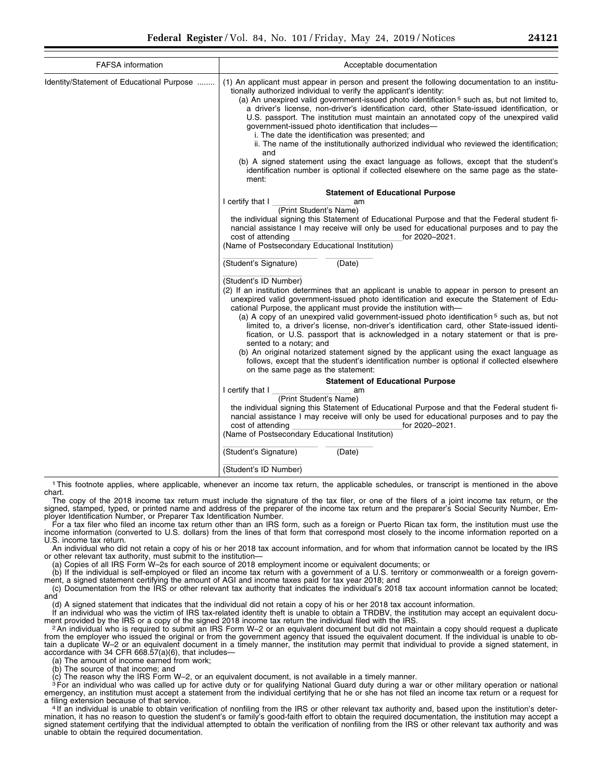| <b>FAFSA</b> information                  | Acceptable documentation                                                                                                                                                                                                                                                                                                                                                                                                                                                                                                                                                                                                                                                                                                                                                                                                                                                               |
|-------------------------------------------|----------------------------------------------------------------------------------------------------------------------------------------------------------------------------------------------------------------------------------------------------------------------------------------------------------------------------------------------------------------------------------------------------------------------------------------------------------------------------------------------------------------------------------------------------------------------------------------------------------------------------------------------------------------------------------------------------------------------------------------------------------------------------------------------------------------------------------------------------------------------------------------|
| Identity/Statement of Educational Purpose | (1) An applicant must appear in person and present the following documentation to an institu-<br>tionally authorized individual to verify the applicant's identity:<br>(a) An unexpired valid government-issued photo identification <sup>5</sup> such as, but not limited to,<br>a driver's license, non-driver's identification card, other State-issued identification, or<br>U.S. passport. The institution must maintain an annotated copy of the unexpired valid<br>government-issued photo identification that includes-<br>i. The date the identification was presented; and<br>ii. The name of the institutionally authorized individual who reviewed the identification;<br>and<br>(b) A signed statement using the exact language as follows, except that the student's<br>identification number is optional if collected elsewhere on the same page as the state-<br>ment: |
|                                           | <b>Statement of Educational Purpose</b>                                                                                                                                                                                                                                                                                                                                                                                                                                                                                                                                                                                                                                                                                                                                                                                                                                                |
|                                           | I certify that I<br>am<br>(Print Student's Name)<br>the individual signing this Statement of Educational Purpose and that the Federal student fi-<br>nancial assistance I may receive will only be used for educational purposes and to pay the<br>cost of attending<br>for 2020-2021.<br>(Name of Postsecondary Educational Institution)                                                                                                                                                                                                                                                                                                                                                                                                                                                                                                                                              |
|                                           | (Student's Signature)<br>(Date)                                                                                                                                                                                                                                                                                                                                                                                                                                                                                                                                                                                                                                                                                                                                                                                                                                                        |
|                                           | (Student's ID Number)<br>(2) If an institution determines that an applicant is unable to appear in person to present an<br>unexpired valid government-issued photo identification and execute the Statement of Edu-<br>cational Purpose, the applicant must provide the institution with-<br>(a) A copy of an unexpired valid government-issued photo identification <sup>5</sup> such as, but not<br>limited to, a driver's license, non-driver's identification card, other State-issued identi-<br>fication, or U.S. passport that is acknowledged in a notary statement or that is pre-<br>sented to a notary; and<br>(b) An original notarized statement signed by the applicant using the exact language as<br>follows, except that the student's identification number is optional if collected elsewhere<br>on the same page as the statement:                                 |
|                                           | <b>Statement of Educational Purpose</b>                                                                                                                                                                                                                                                                                                                                                                                                                                                                                                                                                                                                                                                                                                                                                                                                                                                |
|                                           | I certify that I<br>am<br>(Print Student's Name)<br>the individual signing this Statement of Educational Purpose and that the Federal student fi-<br>nancial assistance I may receive will only be used for educational purposes and to pay the<br>cost of attending<br>for 2020-2021.<br>(Name of Postsecondary Educational Institution)                                                                                                                                                                                                                                                                                                                                                                                                                                                                                                                                              |
|                                           | (Student's Signature)<br>(Date)                                                                                                                                                                                                                                                                                                                                                                                                                                                                                                                                                                                                                                                                                                                                                                                                                                                        |
|                                           | (Student's ID Number)                                                                                                                                                                                                                                                                                                                                                                                                                                                                                                                                                                                                                                                                                                                                                                                                                                                                  |

1This footnote applies, where applicable, whenever an income tax return, the applicable schedules, or transcript is mentioned in the above chart.

The copy of the 2018 income tax return must include the signature of the tax filer, or one of the filers of a joint income tax return, or the signed, stamped, typed, or printed name and address of the preparer of the income tax return and the preparer's Social Security Number, Employer Identification Number, or Preparer Tax Identification Number.

For a tax filer who filed an income tax return other than an IRS form, such as a foreign or Puerto Rican tax form, the institution must use the income information (converted to U.S. dollars) from the lines of that form that correspond most closely to the income information reported on a U.S. income tax return.

An individual who did not retain a copy of his or her 2018 tax account information, and for whom that information cannot be located by the IRS or other relevant tax authority, must submit to the institution—

(a) Copies of all IRS Form W–2s for each source of 2018 employment income or equivalent documents; or

(b) If the individual is self-employed or filed an income tax return with a government of a U.S. territory or commonwealth or a foreign government, a signed statement certifying the amount of AGI and income taxes paid for tax year 2018; and

(c) Documentation from the IRS or other relevant tax authority that indicates the individual's 2018 tax account information cannot be located; and

(d) A signed statement that indicates that the individual did not retain a copy of his or her 2018 tax account information.

If an individual who was the victim of IRS tax-related identity theft is unable to obtain a TRDBV, the institution may accept an equivalent docu-<br>ment provided by the IRS or a copy of the signed 2018 income tax return the

2 An individual who is required to submit an IRS Form W-2 or an equivalent document but did not maintain a copy should request a duplicate from the employer who issued the original or from the government agency that issued the equivalent document. If the individual is unable to obtain a duplicate W–2 or an equivalent document in a timely manner, the institution may permit that individual to provide a signed statement, in accordance with 34 CFR 668.57(a)(6), that includes—

(a) The amount of income earned from work;

(b) The source of that income; and

 $\overline{\text{c}}$  The reason why the IRS Form W–2, or an equivalent document, is not available in a timely manner.

<sup>3</sup> For an individual who was called up for active duty or for qualifying National Guard duty during a war or other military operation or national emergency, an institution must accept a statement from the individual certifying that he or she has not filed an income tax return or a request for<br>a filing extension because of that service.

a filing extension because of that service.<br>4 If an individual is unable to obtain verification of nonfiling from the IRS or other relevant tax authority and, based upon the institution's determination, it has no reason to question the student's or family's good-faith effort to obtain the required documentation, the institution may accept a signed statement certifying that the individual attempted to obtain the verification of nonfiling from the IRS or other relevant tax authority and was unable to obtain the required documentation.